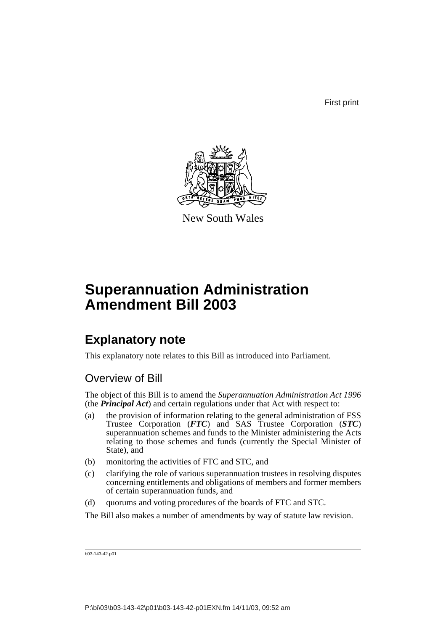First print



New South Wales

# **Superannuation Administration Amendment Bill 2003**

# **Explanatory note**

This explanatory note relates to this Bill as introduced into Parliament.

# Overview of Bill

The object of this Bill is to amend the *Superannuation Administration Act 1996* (the *Principal Act*) and certain regulations under that Act with respect to:

- (a) the provision of information relating to the general administration of FSS Trustee Corporation (*FTC*) and SAS Trustee Corporation (*STC*) superannuation schemes and funds to the Minister administering the Acts relating to those schemes and funds (currently the Special Minister of State), and
- (b) monitoring the activities of FTC and STC, and
- (c) clarifying the role of various superannuation trustees in resolving disputes concerning entitlements and obligations of members and former members of certain superannuation funds, and
- (d) quorums and voting procedures of the boards of FTC and STC.

The Bill also makes a number of amendments by way of statute law revision.

b03-143-42.p01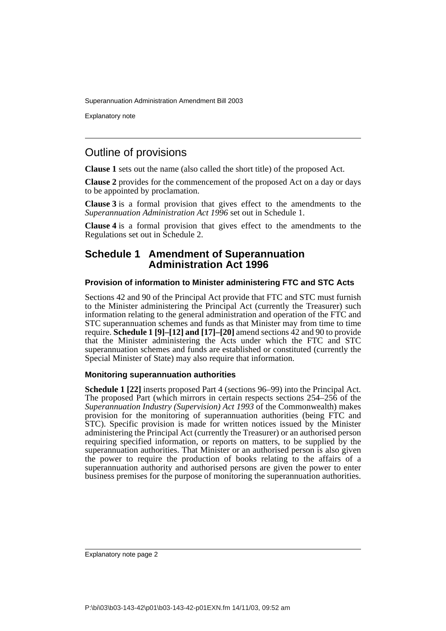Explanatory note

# Outline of provisions

**Clause 1** sets out the name (also called the short title) of the proposed Act.

**Clause 2** provides for the commencement of the proposed Act on a day or days to be appointed by proclamation.

**Clause 3** is a formal provision that gives effect to the amendments to the *Superannuation Administration Act 1996* set out in Schedule 1.

**Clause 4** is a formal provision that gives effect to the amendments to the Regulations set out in Schedule 2.

## **Schedule 1 Amendment of Superannuation Administration Act 1996**

### **Provision of information to Minister administering FTC and STC Acts**

Sections 42 and 90 of the Principal Act provide that FTC and STC must furnish to the Minister administering the Principal Act (currently the Treasurer) such information relating to the general administration and operation of the FTC and STC superannuation schemes and funds as that Minister may from time to time require. **Schedule 1 [9]–[12] and [17]–[20]** amend sections 42 and 90 to provide that the Minister administering the Acts under which the FTC and STC superannuation schemes and funds are established or constituted (currently the Special Minister of State) may also require that information.

#### **Monitoring superannuation authorities**

**Schedule 1 [22]** inserts proposed Part 4 (sections 96–99) into the Principal Act. The proposed Part (which mirrors in certain respects sections 254–256 of the *Superannuation Industry (Supervision) Act 1993* of the Commonwealth) makes provision for the monitoring of superannuation authorities (being FTC and STC). Specific provision is made for written notices issued by the Minister administering the Principal Act (currently the Treasurer) or an authorised person requiring specified information, or reports on matters, to be supplied by the superannuation authorities. That Minister or an authorised person is also given the power to require the production of books relating to the affairs of a superannuation authority and authorised persons are given the power to enter business premises for the purpose of monitoring the superannuation authorities.

Explanatory note page 2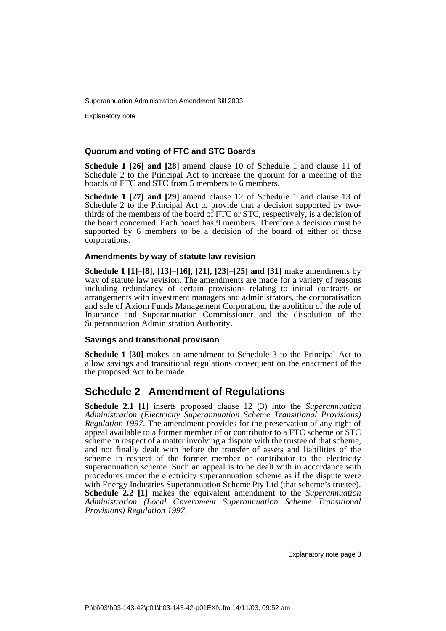Explanatory note

### **Quorum and voting of FTC and STC Boards**

**Schedule 1 [26] and [28]** amend clause 10 of Schedule 1 and clause 11 of Schedule 2 to the Principal Act to increase the quorum for a meeting of the boards of FTC and STC from 5 members to 6 members.

**Schedule 1 [27] and [29]** amend clause 12 of Schedule 1 and clause 13 of Schedule 2 to the Principal Act to provide that a decision supported by twothirds of the members of the board of FTC or STC, respectively, is a decision of the board concerned. Each board has 9 members. Therefore a decision must be supported by 6 members to be a decision of the board of either of those corporations.

### **Amendments by way of statute law revision**

**Schedule 1 [1]–[8], [13]–[16], [21], [23]–[25] and [31]** make amendments by way of statute law revision. The amendments are made for a variety of reasons including redundancy of certain provisions relating to initial contracts or arrangements with investment managers and administrators, the corporatisation and sale of Axiom Funds Management Corporation, the abolition of the role of Insurance and Superannuation Commissioner and the dissolution of the Superannuation Administration Authority.

### **Savings and transitional provision**

**Schedule 1 [30]** makes an amendment to Schedule 3 to the Principal Act to allow savings and transitional regulations consequent on the enactment of the the proposed Act to be made.

# **Schedule 2 Amendment of Regulations**

**Schedule 2.1 [1]** inserts proposed clause 12 (3) into the *Superannuation Administration (Electricity Superannuation Scheme Transitional Provisions) Regulation 1997*. The amendment provides for the preservation of any right of appeal available to a former member of or contributor to a FTC scheme or STC scheme in respect of a matter involving a dispute with the trustee of that scheme, and not finally dealt with before the transfer of assets and liabilities of the scheme in respect of the former member or contributor to the electricity superannuation scheme. Such an appeal is to be dealt with in accordance with procedures under the electricity superannuation scheme as if the dispute were with Energy Industries Superannuation Scheme Pty Ltd (that scheme's trustee). **Schedule 2.2** [1] makes the equivalent amendment to the *Superannuation Administration (Local Government Superannuation Scheme Transitional Provisions) Regulation 1997*.

Explanatory note page 3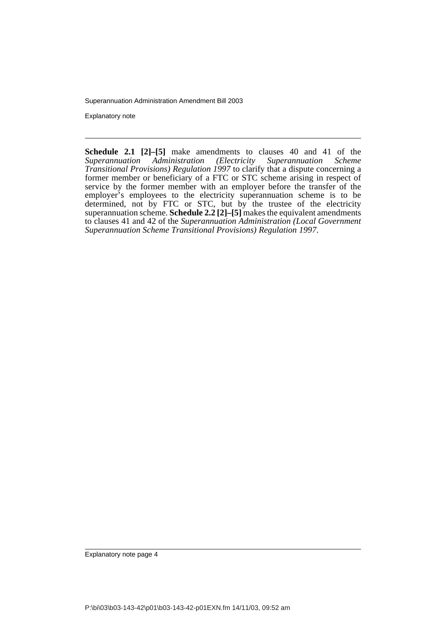Explanatory note

**Schedule 2.1 [2]–[5]** make amendments to clauses 40 and 41 of the *Superannuation Administration (Electricity Superannuation Scheme Transitional Provisions) Regulation 1997* to clarify that a dispute concerning a former member or beneficiary of a FTC or STC scheme arising in respect of service by the former member with an employer before the transfer of the employer's employees to the electricity superannuation scheme is to be determined, not by FTC or STC, but by the trustee of the electricity superannuation scheme. **Schedule 2.2 [2]–[5]** makes the equivalent amendments to clauses 41 and 42 of the *Superannuation Administration (Local Government Superannuation Scheme Transitional Provisions) Regulation 1997*.

Explanatory note page 4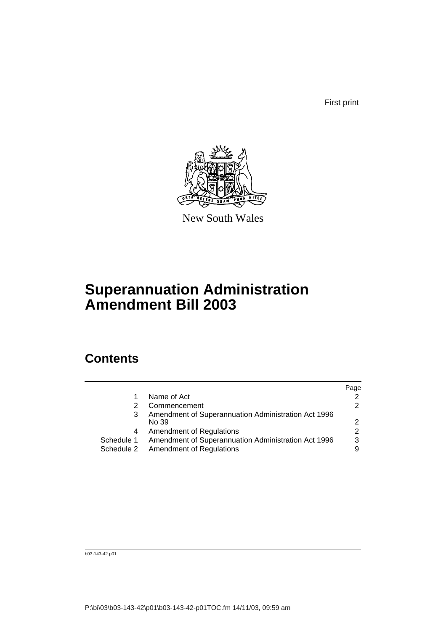First print



New South Wales

# **Superannuation Administration Amendment Bill 2003**

# **Contents**

|                                                     | Page                                |
|-----------------------------------------------------|-------------------------------------|
| Name of Act                                         | 2                                   |
| Commencement                                        | 2                                   |
| Amendment of Superannuation Administration Act 1996 |                                     |
| No 39                                               | $\mathcal{P}$                       |
| <b>Amendment of Regulations</b>                     | 2                                   |
| Amendment of Superannuation Administration Act 1996 | 3                                   |
|                                                     | 9                                   |
|                                                     | Schedule 2 Amendment of Regulations |

b03-143-42.p01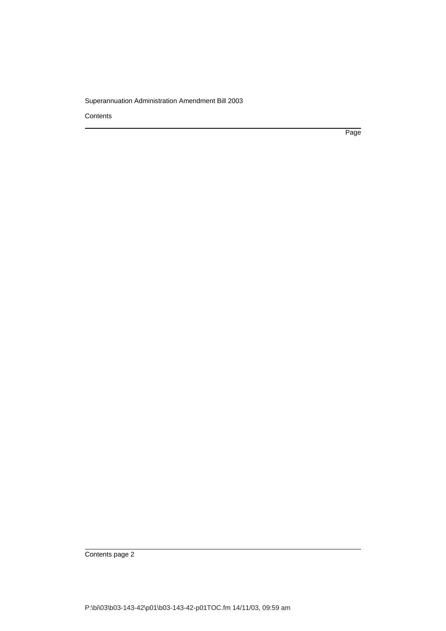**Contents** 

Page

Contents page 2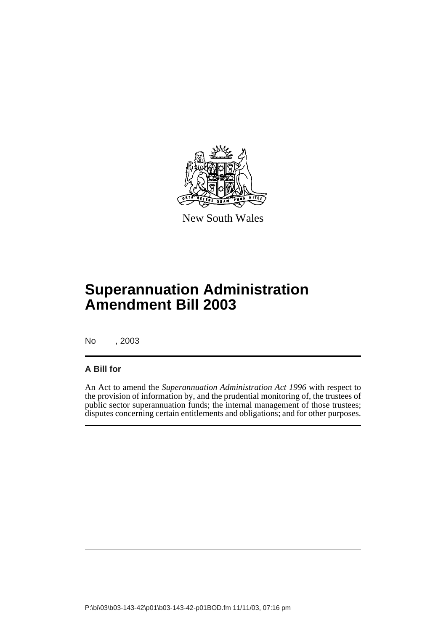

New South Wales

# **Superannuation Administration Amendment Bill 2003**

No , 2003

## **A Bill for**

An Act to amend the *Superannuation Administration Act 1996* with respect to the provision of information by, and the prudential monitoring of, the trustees of public sector superannuation funds; the internal management of those trustees; disputes concerning certain entitlements and obligations; and for other purposes.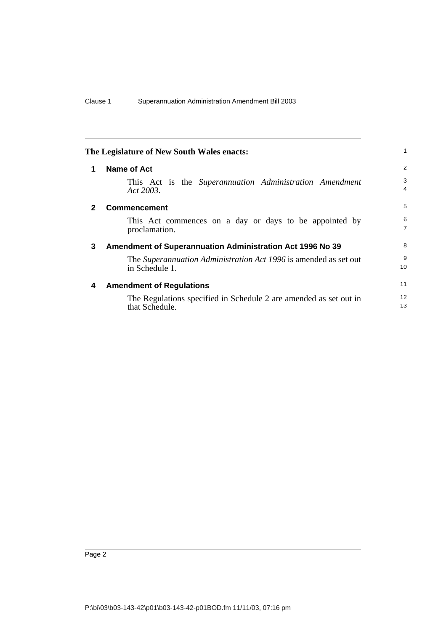<span id="page-7-3"></span><span id="page-7-2"></span><span id="page-7-1"></span><span id="page-7-0"></span>

| The Legislature of New South Wales enacts: |                                                                                     | 1                       |
|--------------------------------------------|-------------------------------------------------------------------------------------|-------------------------|
|                                            | Name of Act                                                                         | 2                       |
|                                            | This Act is the Superannuation Administration Amendment<br>Act 2003.                | 3<br>$\overline{4}$     |
| 2                                          | <b>Commencement</b>                                                                 | 5                       |
|                                            | This Act commences on a day or days to be appointed by<br>proclamation.             | 6<br>$\overline{7}$     |
| 3                                          | <b>Amendment of Superannuation Administration Act 1996 No 39</b>                    | 8                       |
|                                            | The Superannuation Administration Act 1996 is amended as set out<br>in Schedule 1.  | 9<br>10                 |
| 4                                          | <b>Amendment of Regulations</b>                                                     | 11                      |
|                                            | The Regulations specified in Schedule 2 are amended as set out in<br>that Schedule. | $12 \overline{ }$<br>13 |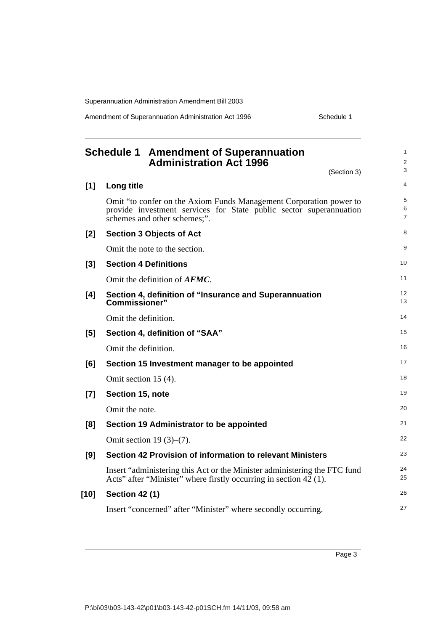Amendment of Superannuation Administration Act 1996 Schedule 1

<span id="page-8-0"></span>

|       | <b>Schedule 1 Amendment of Superannuation</b><br><b>Administration Act 1996</b><br>(Section 3)                                                                           | 1<br>$\overline{2}$<br>3 |
|-------|--------------------------------------------------------------------------------------------------------------------------------------------------------------------------|--------------------------|
| $[1]$ | Long title                                                                                                                                                               | 4                        |
|       | Omit "to confer on the Axiom Funds Management Corporation power to<br>provide investment services for State public sector superannuation<br>schemes and other schemes;". | 5<br>6<br>$\overline{7}$ |
| [2]   | <b>Section 3 Objects of Act</b>                                                                                                                                          | 8                        |
|       | Omit the note to the section.                                                                                                                                            | 9                        |
| [3]   | <b>Section 4 Definitions</b>                                                                                                                                             | 10                       |
|       | Omit the definition of <b>AFMC</b> .                                                                                                                                     | 11                       |
| [4]   | Section 4, definition of "Insurance and Superannuation<br>Commissioner"                                                                                                  | 12<br>13                 |
|       | Omit the definition.                                                                                                                                                     | 14                       |
| [5]   | Section 4, definition of "SAA"                                                                                                                                           | 15                       |
|       | Omit the definition.                                                                                                                                                     | 16                       |
| [6]   | Section 15 Investment manager to be appointed                                                                                                                            | 17                       |
|       | Omit section $15(4)$ .                                                                                                                                                   | 18                       |
| $[7]$ | Section 15, note                                                                                                                                                         | 19                       |
|       | Omit the note.                                                                                                                                                           | 20                       |
| [8]   | Section 19 Administrator to be appointed                                                                                                                                 | 21                       |
|       | Omit section 19 $(3)-(7)$ .                                                                                                                                              | 22                       |
| [9]   | Section 42 Provision of information to relevant Ministers                                                                                                                | 23                       |
|       | Insert "administering this Act or the Minister administering the FTC fund<br>Acts" after "Minister" where firstly occurring in section $42$ (1).                         | 24<br>25                 |
| [10]  | <b>Section 42 (1)</b>                                                                                                                                                    | 26                       |
|       | Insert "concerned" after "Minister" where secondly occurring.                                                                                                            | 27                       |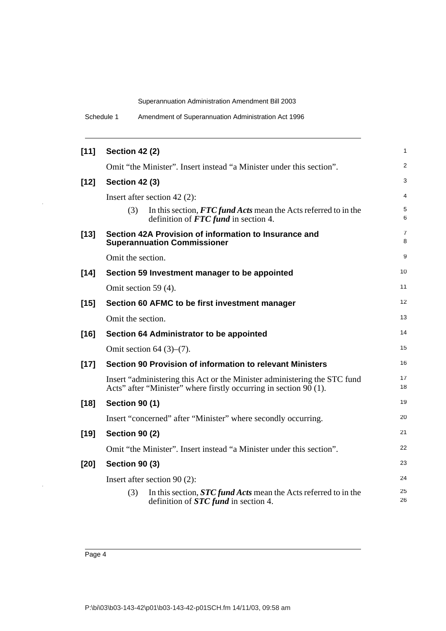| [11]   | <b>Section 42 (2)</b>                                                                                                                          | 1        |
|--------|------------------------------------------------------------------------------------------------------------------------------------------------|----------|
|        | Omit "the Minister". Insert instead "a Minister under this section".                                                                           | 2        |
| $[12]$ | <b>Section 42 (3)</b>                                                                                                                          | 3        |
|        | Insert after section $42(2)$ :                                                                                                                 | 4        |
|        | In this section, FTC fund Acts mean the Acts referred to in the<br>(3)<br>definition of $FTC$ fund in section 4.                               | 5<br>6   |
| $[13]$ | Section 42A Provision of information to Insurance and<br><b>Superannuation Commissioner</b>                                                    | 7<br>8   |
|        | Omit the section.                                                                                                                              | 9        |
| $[14]$ | Section 59 Investment manager to be appointed                                                                                                  | 10       |
|        | Omit section 59 (4).                                                                                                                           | 11       |
| $[15]$ | Section 60 AFMC to be first investment manager                                                                                                 | 12       |
|        | Omit the section.                                                                                                                              | 13       |
| $[16]$ | Section 64 Administrator to be appointed                                                                                                       | 14       |
|        | Omit section 64 $(3)-(7)$ .                                                                                                                    | 15       |
| $[17]$ | Section 90 Provision of information to relevant Ministers                                                                                      | 16       |
|        | Insert "administering this Act or the Minister administering the STC fund<br>Acts" after "Minister" where firstly occurring in section 90 (1). | 17<br>18 |
| $[18]$ | <b>Section 90 (1)</b>                                                                                                                          | 19       |
|        | Insert "concerned" after "Minister" where secondly occurring.                                                                                  | 20       |
| $[19]$ | <b>Section 90 (2)</b>                                                                                                                          | 21       |
|        | Omit "the Minister". Insert instead "a Minister under this section".                                                                           | 22       |
| [20]   | <b>Section 90 (3)</b>                                                                                                                          | 23       |
|        | Insert after section $90(2)$ :                                                                                                                 | 24       |
|        | In this section, <b>STC fund Acts</b> mean the Acts referred to in the<br>(3)<br>definition of $STC$ fund in section 4.                        | 25<br>26 |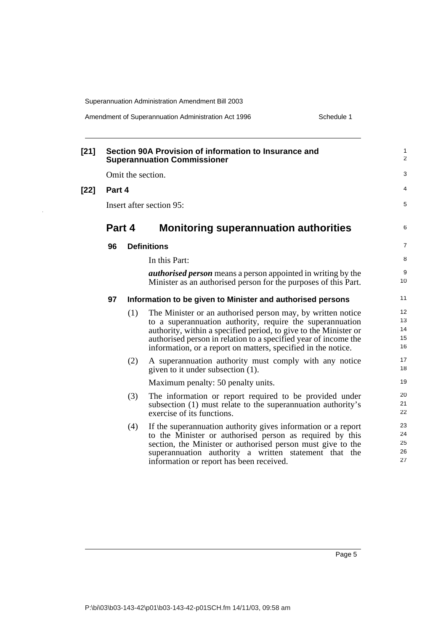$\bar{z}$ 

Amendment of Superannuation Administration Act 1996 Schedule 1

| [21] |        |     | Section 90A Provision of information to Insurance and<br><b>Superannuation Commissioner</b>                                                                                                                                                                                                                                      | 1<br>$\overline{2}$        |
|------|--------|-----|----------------------------------------------------------------------------------------------------------------------------------------------------------------------------------------------------------------------------------------------------------------------------------------------------------------------------------|----------------------------|
|      |        |     | Omit the section.                                                                                                                                                                                                                                                                                                                | 3                          |
| [22] | Part 4 |     |                                                                                                                                                                                                                                                                                                                                  | 4                          |
|      |        |     | Insert after section 95:                                                                                                                                                                                                                                                                                                         | 5                          |
|      | Part 4 |     | <b>Monitoring superannuation authorities</b>                                                                                                                                                                                                                                                                                     | 6                          |
|      | 96     |     | <b>Definitions</b>                                                                                                                                                                                                                                                                                                               | $\overline{7}$             |
|      |        |     | In this Part:                                                                                                                                                                                                                                                                                                                    | 8                          |
|      |        |     | <i>authorised person</i> means a person appointed in writing by the<br>Minister as an authorised person for the purposes of this Part.                                                                                                                                                                                           | 9<br>10                    |
|      | 97     |     | Information to be given to Minister and authorised persons                                                                                                                                                                                                                                                                       | 11                         |
|      |        | (1) | The Minister or an authorised person may, by written notice<br>to a superannuation authority, require the superannuation<br>authority, within a specified period, to give to the Minister or<br>authorised person in relation to a specified year of income the<br>information, or a report on matters, specified in the notice. | 12<br>13<br>14<br>15<br>16 |
|      |        | (2) | A superannuation authority must comply with any notice<br>given to it under subsection (1).                                                                                                                                                                                                                                      | 17<br>18                   |
|      |        |     | Maximum penalty: 50 penalty units.                                                                                                                                                                                                                                                                                               | 19                         |
|      |        | (3) | The information or report required to be provided under<br>subsection (1) must relate to the superannuation authority's<br>exercise of its functions.                                                                                                                                                                            | 20<br>21<br>22             |
|      |        | (4) | If the superannuation authority gives information or a report<br>to the Minister or authorised person as required by this<br>section, the Minister or authorised person must give to the<br>superannuation authority a written statement that the<br>information or report has been received.                                    | 23<br>24<br>25<br>26<br>27 |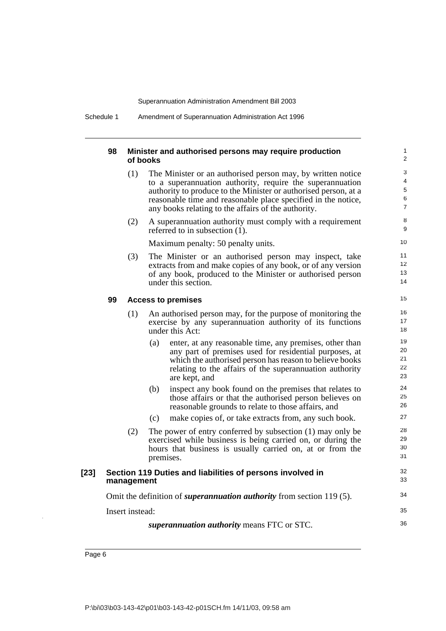Schedule 1 Amendment of Superannuation Administration Act 1996

#### **98 Minister and authorised persons may require production of books**

(1) The Minister or an authorised person may, by written notice to a superannuation authority, require the superannuation authority to produce to the Minister or authorised person, at a reasonable time and reasonable place specified in the notice, any books relating to the affairs of the authority.

34

35 36

(2) A superannuation authority must comply with a requirement referred to in subsection (1).

Maximum penalty: 50 penalty units.

(3) The Minister or an authorised person may inspect, take extracts from and make copies of any book, or of any version of any book, produced to the Minister or authorised person under this section.

#### **99 Access to premises**

- (1) An authorised person may, for the purpose of monitoring the exercise by any superannuation authority of its functions under this Act:
	- (a) enter, at any reasonable time, any premises, other than any part of premises used for residential purposes, at which the authorised person has reason to believe books relating to the affairs of the superannuation authority are kept, and
	- (b) inspect any book found on the premises that relates to those affairs or that the authorised person believes on reasonable grounds to relate to those affairs, and
	- (c) make copies of, or take extracts from, any such book.
- (2) The power of entry conferred by subsection (1) may only be exercised while business is being carried on, or during the hours that business is usually carried on, at or from the premises.

#### **[23] Section 119 Duties and liabilities of persons involved in management**

Omit the definition of *superannuation authority* from section 119 (5).

Insert instead:

*superannuation authority* means FTC or STC.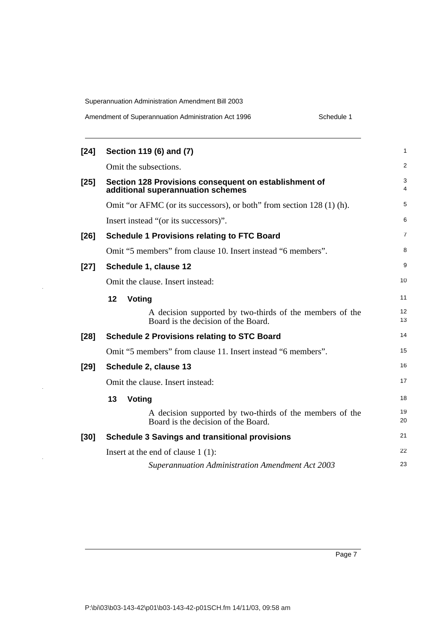$\bar{z}$ 

 $\bar{z}$ 

 $\overline{\phantom{a}}$ 

| Amendment of Superannuation Administration Act 1996 | Schedule 1 |
|-----------------------------------------------------|------------|
|-----------------------------------------------------|------------|

| [24]   | Section 119 (6) and (7)                                                                         | $\mathbf{1}$   |
|--------|-------------------------------------------------------------------------------------------------|----------------|
|        | Omit the subsections.                                                                           | $\overline{2}$ |
| $[25]$ | Section 128 Provisions consequent on establishment of<br>additional superannuation schemes      | 3<br>4         |
|        | Omit "or AFMC (or its successors), or both" from section 128 (1) (h).                           | 5              |
|        | Insert instead "(or its successors)".                                                           | 6              |
| $[26]$ | <b>Schedule 1 Provisions relating to FTC Board</b>                                              | $\overline{7}$ |
|        | Omit "5 members" from clause 10. Insert instead "6 members".                                    | 8              |
| $[27]$ | Schedule 1, clause 12                                                                           | 9              |
|        | Omit the clause. Insert instead:                                                                | 10             |
|        | 12<br>Voting                                                                                    | 11             |
|        | A decision supported by two-thirds of the members of the<br>Board is the decision of the Board. | 12<br>13       |
| [28]   | <b>Schedule 2 Provisions relating to STC Board</b>                                              | 14             |
|        | Omit "5 members" from clause 11. Insert instead "6 members".                                    | 15             |
| $[29]$ | Schedule 2, clause 13                                                                           | 16             |
|        | Omit the clause. Insert instead:                                                                | 17             |
|        | 13<br>Voting                                                                                    | 18             |
|        | A decision supported by two-thirds of the members of the<br>Board is the decision of the Board. | 19<br>20       |
| $[30]$ | <b>Schedule 3 Savings and transitional provisions</b>                                           | 21             |
|        | Insert at the end of clause $1(1)$ :                                                            | 22             |
|        | <b>Superannuation Administration Amendment Act 2003</b>                                         | 23             |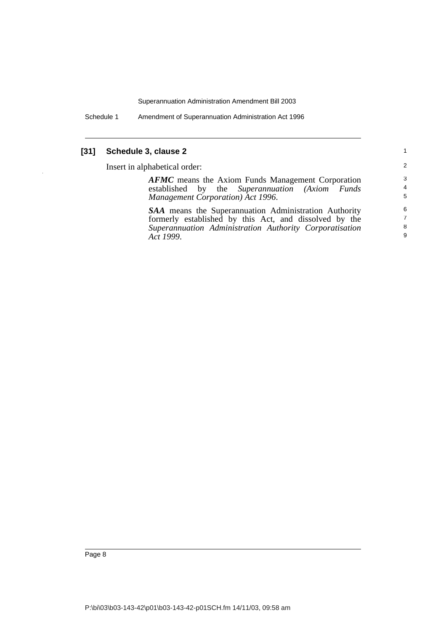Schedule 1 Amendment of Superannuation Administration Act 1996

# **[31] Schedule 3, clause 2**

Insert in alphabetical order:

| <b>AFMC</b> means the Axiom Funds Management Corporation     | 3              |
|--------------------------------------------------------------|----------------|
| established by the Superannuation (Axiom Funds               | $\overline{a}$ |
| Management Corporation) Act 1996.                            | 5              |
| <b>SAA</b> means the Superannuation Administration Authority | 6              |
| formerly established by this Act, and dissolved by the       | $\overline{7}$ |
| Superannuation Administration Authority Corporatisation      | 8              |
| Act 1999.                                                    | 9              |
|                                                              |                |

1 2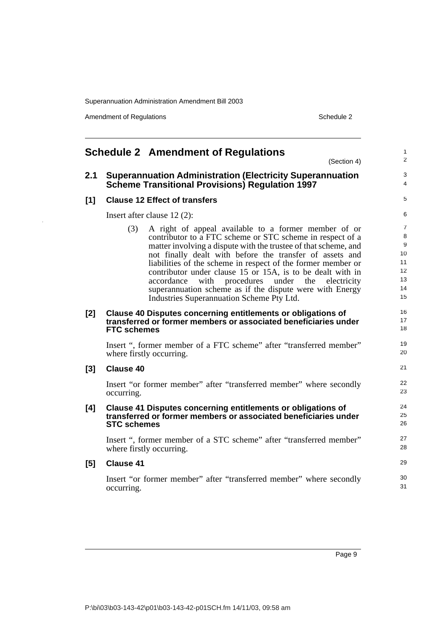Amendment of Regulations and the state of Schedule 2

<span id="page-14-0"></span>

|       | <b>Schedule 2 Amendment of Regulations</b><br>(Section 4)                                                                                                                                                                                                                                                                                                                                                                                                                                                                                                   | 1<br>$\overline{c}$                             |
|-------|-------------------------------------------------------------------------------------------------------------------------------------------------------------------------------------------------------------------------------------------------------------------------------------------------------------------------------------------------------------------------------------------------------------------------------------------------------------------------------------------------------------------------------------------------------------|-------------------------------------------------|
| 2.1   | <b>Superannuation Administration (Electricity Superannuation</b><br><b>Scheme Transitional Provisions) Regulation 1997</b>                                                                                                                                                                                                                                                                                                                                                                                                                                  | 3<br>4                                          |
| [1]   | <b>Clause 12 Effect of transfers</b>                                                                                                                                                                                                                                                                                                                                                                                                                                                                                                                        | 5                                               |
|       | Insert after clause $12(2)$ :                                                                                                                                                                                                                                                                                                                                                                                                                                                                                                                               | 6                                               |
|       | (3)<br>A right of appeal available to a former member of or<br>contributor to a FTC scheme or STC scheme in respect of a<br>matter involving a dispute with the trustee of that scheme, and<br>not finally dealt with before the transfer of assets and<br>liabilities of the scheme in respect of the former member or<br>contributor under clause 15 or 15A, is to be dealt with in<br>with<br>procedures under the<br>accordance<br>electricity<br>superannuation scheme as if the dispute were with Energy<br>Industries Superannuation Scheme Pty Ltd. | 7<br>8<br>9<br>10<br>11<br>12<br>13<br>14<br>15 |
| $[2]$ | Clause 40 Disputes concerning entitlements or obligations of<br>transferred or former members or associated beneficiaries under<br><b>FTC schemes</b>                                                                                                                                                                                                                                                                                                                                                                                                       | 16<br>17<br>18                                  |
|       | Insert ", former member of a FTC scheme" after "transferred member"<br>where firstly occurring.                                                                                                                                                                                                                                                                                                                                                                                                                                                             | 19<br>20                                        |
| $[3]$ | <b>Clause 40</b>                                                                                                                                                                                                                                                                                                                                                                                                                                                                                                                                            | 21                                              |
|       | Insert "or former member" after "transferred member" where secondly<br>occurring.                                                                                                                                                                                                                                                                                                                                                                                                                                                                           | 22<br>23                                        |
| [4]   | Clause 41 Disputes concerning entitlements or obligations of<br>transferred or former members or associated beneficiaries under<br><b>STC schemes</b>                                                                                                                                                                                                                                                                                                                                                                                                       | 24<br>25<br>26                                  |
|       | Insert ", former member of a STC scheme" after "transferred member"<br>where firstly occurring.                                                                                                                                                                                                                                                                                                                                                                                                                                                             | 27<br>28                                        |
| [5]   | <b>Clause 41</b>                                                                                                                                                                                                                                                                                                                                                                                                                                                                                                                                            | 29                                              |
|       | Insert "or former member" after "transferred member" where secondly<br>occurring.                                                                                                                                                                                                                                                                                                                                                                                                                                                                           | 30<br>31                                        |